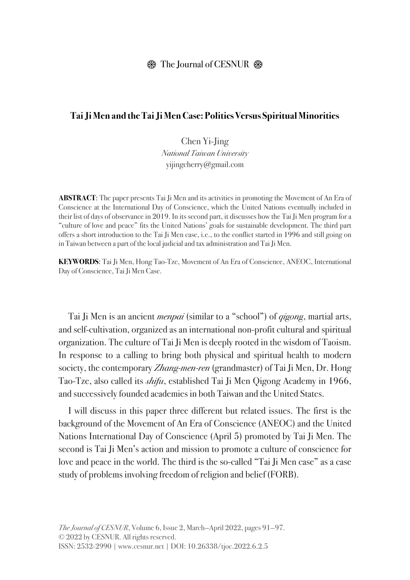## $\circledR$  The Journal of CESNUR  $\circledR$

## **Tai Ji Men and the Tai Ji Men Case: Politics Versus Spiritual Minorities**

Chen Yi-Jing *National Taiwan University* yijingcherry@gmail.com

**ABSTRACT**: The paper presents Tai Ji Men and its activities in promoting the Movement of An Era of Conscience at the International Day of Conscience, which the United Nations eventually included in their list of days of observance in 2019. In its second part, it discusses how the Tai Ji Men program for a "culture of love and peace" fits the United Nations' goals for sustainable development. The third part offers a short introduction to the Tai Ji Men case, i.e., to the conflict started in 1996 and still going on in Taiwan between a part of the local judicial and tax administration and Tai Ji Men.

**KEYWORDS**: Tai Ji Men, Hong Tao-Tze, Movement of An Era of Conscience, ANEOC, International Day of Conscience, Tai Ji Men Case.

Tai Ji Men is an ancient *menpai* (similar to a "school") of *qigong*, martial arts, and self-cultivation, organized as an international non-profit cultural and spiritual organization. The culture of Tai Ji Men is deeply rooted in the wisdom of Taoism. In response to a calling to bring both physical and spiritual health to modern society, the contemporary *Zhang-men-ren* (grandmaster) of Tai Ji Men, Dr. Hong Tao-Tze, also called its *shifu*, established Tai Ji Men Qigong Academy in 1966, and successively founded academies in both Taiwan and the United States.

I will discuss in this paper three different but related issues. The first is the background of the Movement of An Era of Conscience (ANEOC) and the United Nations International Day of Conscience (April 5) promoted by Tai Ji Men. The second is Tai Ji Men's action and mission to promote a culture of conscience for love and peace in the world. The third is the so-called "Tai Ji Men case" as a case study of problems involving freedom of religion and belief (FORB).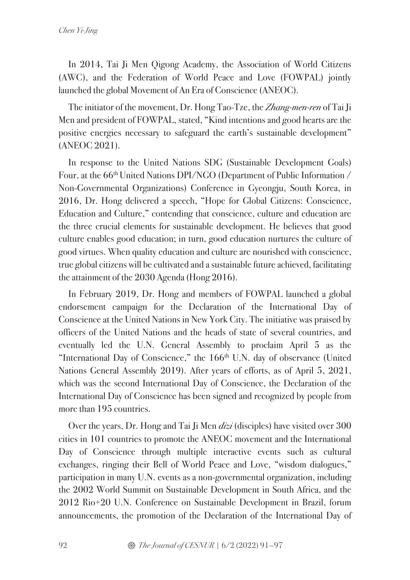In 2014, Tai Ji Men Qigong Academy, the Association of World Citizens (AWC), and the Federation of World Peace and Love (FOWPAL) jointly launched the global Movement of An Era of Conscience (ANEOC).

The initiator of the movement, Dr. Hong Tao-Tze, the *Zhang-men-ren* of Tai Ji Men and president of FOWPAL, stated, "Kind intentions and good hearts are the positive energies necessary to safeguard the earth's sustainable development" (ANEOC 2021).

In response to the United Nations SDG (Sustainable Development Goals) Four, at the 66<sup>th</sup> United Nations DPI/NGO (Department of Public Information / Non-Governmental Organizations) Conference in Gyeongju, South Korea, in 2016, Dr. Hong delivered a speech, "Hope for Global Citizens: Conscience, Education and Culture," contending that conscience, culture and education are the three crucial elements for sustainable development. He believes that good culture enables good education; in turn, good education nurtures the culture of good virtues. When quality education and culture are nourished with conscience, true global citizens will be cultivated and a sustainable future achieved, facilitating the attainment of the 2030 Agenda (Hong 2016).

In February 2019, Dr. Hong and members of FOWPAL launched a global endorsement campaign for the Declaration of the International Day of Conscience at the United Nations in New York City. The initiative was praised by officers of the United Nations and the heads of state of several countries, and eventually led the U.N. General Assembly to proclaim April 5 as the "International Day of Conscience," the  $166<sup>th</sup>$  U.N. day of observance (United Nations General Assembly 2019). After years of efforts, as of April 5, 2021, which was the second International Day of Conscience, the Declaration of the International Day of Conscience has been signed and recognized by people from more than 195 countries.

Over the years, Dr. Hong and Tai Ji Men *dizi* (disciples) have visited over 300 cities in 101 countries to promote the ANEOC movement and the International Day of Conscience through multiple interactive events such as cultural exchanges, ringing their Bell of World Peace and Love, "wisdom dialogues," participation in many U.N. events as a non-governmental organization, including the 2002 World Summit on Sustainable Development in South Africa, and the 2012 Rio+20 U.N. Conference on Sustainable Development in Brazil, forum announcements, the promotion of the Declaration of the International Day of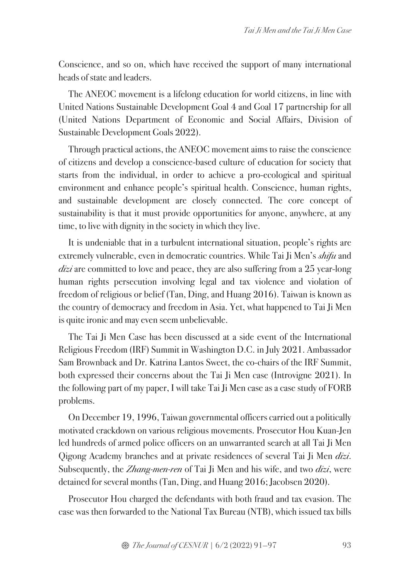Conscience, and so on, which have received the support of many international heads of state and leaders.

The ANEOC movement is a lifelong education for world citizens, in line with United Nations Sustainable Development Goal 4 and Goal 17 partnership for all (United Nations Department of Economic and Social Affairs, Division of Sustainable Development Goals 2022).

Through practical actions, the ANEOC movement aims to raise the conscience of citizens and develop a conscience-based culture of education for society that starts from the individual, in order to achieve a pro-ecological and spiritual environment and enhance people's spiritual health. Conscience, human rights, and sustainable development are closely connected. The core concept of sustainability is that it must provide opportunities for anyone, anywhere, at any time, to live with dignity in the society in which they live.

It is undeniable that in a turbulent international situation, people's rights are extremely vulnerable, even in democratic countries. While Tai Ji Men's *shifu* and *dizi* are committed to love and peace, they are also suffering from a 25 year-long human rights persecution involving legal and tax violence and violation of freedom of religious or belief (Tan, Ding, and Huang 2016). Taiwan is known as the country of democracy and freedom in Asia. Yet, what happened to Tai Ji Men is quite ironic and may even seem unbelievable.

The Tai Ji Men Case has been discussed at a side event of the International Religious Freedom (IRF) Summit in Washington D.C. in July 2021. Ambassador Sam Brownback and Dr. Katrina Lantos Sweet, the co-chairs of the IRF Summit, both expressed their concerns about the Tai Ji Men case (Introvigne 2021). In the following part of my paper, I will take Tai Ji Men case as a case study of FORB problems.

On December 19, 1996, Taiwan governmental officers carried out a politically motivated crackdown on various religious movements. Prosecutor Hou Kuan-Jen led hundreds of armed police officers on an unwarranted search at all Tai Ji Men Qigong Academy branches and at private residences of several Tai Ji Men *dizi*. Subsequently, the *Zhang-men-ren* of Tai Ji Men and his wife, and two *dizi*, were detained for several months (Tan, Ding, and Huang 2016; Jacobsen 2020).

Prosecutor Hou charged the defendants with both fraud and tax evasion. The case was then forwarded to the National Tax Bureau (NTB), which issued tax bills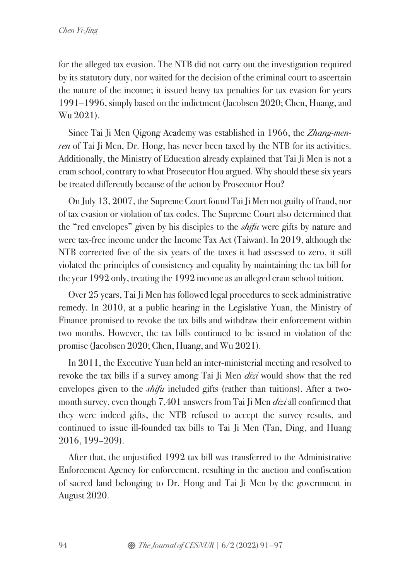for the alleged tax evasion. The NTB did not carry out the investigation required by its statutory duty, nor waited for the decision of the criminal court to ascertain the nature of the income; it issued heavy tax penalties for tax evasion for years 1991–1996, simply based on the indictment (Jacobsen 2020; Chen, Huang, and Wu 2021).

Since Tai Ji Men Qigong Academy was established in 1966, the *Zhang-menren* of Tai Ji Men, Dr. Hong, has never been taxed by the NTB for its activities. Additionally, the Ministry of Education already explained that Tai Ji Men is not a cram school, contrary to what Prosecutor Hou argued. Why should these six years be treated differently because of the action by Prosecutor Hou?

On July 13, 2007, the Supreme Court found Tai Ji Men not guilty of fraud, nor of tax evasion or violation of tax codes. The Supreme Court also determined that the "red envelopes" given by his disciples to the *shifu* were gifts by nature and were tax-free income under the Income Tax Act (Taiwan). In 2019, although the NTB corrected five of the six years of the taxes it had assessed to zero, it still violated the principles of consistency and equality by maintaining the tax bill for the year 1992 only, treating the 1992 income as an alleged cram school tuition.

Over 25 years, Tai Ji Men has followed legal procedures to seek administrative remedy. In 2010, at a public hearing in the Legislative Yuan, the Ministry of Finance promised to revoke the tax bills and withdraw their enforcement within two months. However, the tax bills continued to be issued in violation of the promise (Jacobsen 2020; Chen, Huang, and Wu 2021).

In 2011, the Executive Yuan held an inter-ministerial meeting and resolved to revoke the tax bills if a survey among Tai Ji Men *dizi* would show that the red envelopes given to the *shifu* included gifts (rather than tuitions). After a twomonth survey, even though 7,401 answers from Tai Ji Men *dizi* all confirmed that they were indeed gifts, the NTB refused to accept the survey results, and continued to issue ill-founded tax bills to Tai Ji Men (Tan, Ding, and Huang 2016, 199–209).

After that, the unjustified 1992 tax bill was transferred to the Administrative Enforcement Agency for enforcement, resulting in the auction and confiscation of sacred land belonging to Dr. Hong and Tai Ji Men by the government in August 2020.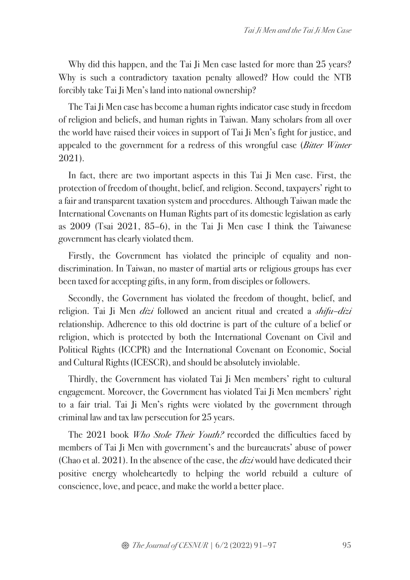Why did this happen, and the Tai Ji Men case lasted for more than 25 years? Why is such a contradictory taxation penalty allowed? How could the NTB forcibly take Tai Ji Men's land into national ownership?

The Tai Ji Men case has become a human rights indicator case study in freedom of religion and beliefs, and human rights in Taiwan. Many scholars from all over the world have raised their voices in support of Tai Ji Men's fight for justice, and appealed to the government for a redress of this wrongful case (*Bitter Winter*  2021).

In fact, there are two important aspects in this Tai Ji Men case. First, the protection of freedom of thought, belief, and religion. Second, taxpayers' right to a fair and transparent taxation system and procedures. Although Taiwan made the International Covenants on Human Rights part of its domestic legislation as early as 2009 (Tsai 2021, 85–6), in the Tai Ji Men case I think the Taiwanese government has clearly violated them.

Firstly, the Government has violated the principle of equality and nondiscrimination. In Taiwan, no master of martial arts or religious groups has ever been taxed for accepting gifts, in any form, from disciples or followers.

Secondly, the Government has violated the freedom of thought, belief, and religion. Tai Ji Men *dizi* followed an ancient ritual and created a *shifu–dizi*  relationship. Adherence to this old doctrine is part of the culture of a belief or religion, which is protected by both the International Covenant on Civil and Political Rights (ICCPR) and the International Covenant on Economic, Social and Cultural Rights (ICESCR), and should be absolutely inviolable.

Thirdly, the Government has violated Tai Ji Men members' right to cultural engagement. Moreover, the Government has violated Tai Ji Men members' right to a fair trial. Tai Ji Men's rights were violated by the government through criminal law and tax law persecution for 25 years.

The 2021 book *Who Stole Their Youth?* recorded the difficulties faced by members of Tai Ji Men with government's and the bureaucrats' abuse of power (Chao et al. 2021). In the absence of the case, the *dizi* would have dedicated their positive energy wholeheartedly to helping the world rebuild a culture of conscience, love, and peace, and make the world a better place.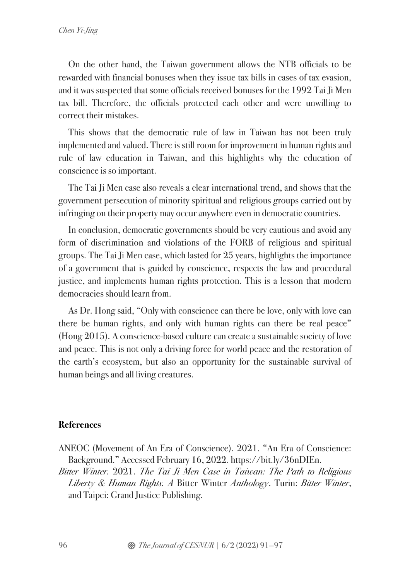On the other hand, the Taiwan government allows the NTB officials to be rewarded with financial bonuses when they issue tax bills in cases of tax evasion, and it was suspected that some officials received bonuses for the 1992 Tai Ji Men tax bill. Therefore, the officials protected each other and were unwilling to correct their mistakes.

This shows that the democratic rule of law in Taiwan has not been truly implemented and valued. There is still room for improvement in human rights and rule of law education in Taiwan, and this highlights why the education of conscience is so important.

The Tai Ji Men case also reveals a clear international trend, and shows that the government persecution of minority spiritual and religious groups carried out by infringing on their property may occur anywhere even in democratic countries.

In conclusion, democratic governments should be very cautious and avoid any form of discrimination and violations of the FORB of religious and spiritual groups. The Tai Ji Men case, which lasted for 25 years, highlights the importance of a government that is guided by conscience, respects the law and procedural justice, and implements human rights protection. This is a lesson that modern democracies should learn from.

As Dr. Hong said, "Only with conscience can there be love, only with love can there be human rights, and only with human rights can there be real peace" (Hong 2015). A conscience-based culture can create a sustainable society of love and peace. This is not only a driving force for world peace and the restoration of the earth's ecosystem, but also an opportunity for the sustainable survival of human beings and all living creatures.

## **References**

- ANEOC (Movement of An Era of Conscience). 2021. "An Era of Conscience: Background." Accessed February 16, 2022. https://bit.ly/36nDIEn.
- *Bitter Winter.* 2021. *The Tai Ji Men Case in Taiwan: The Path to Religious Liberty & Human Rights. A* Bitter Winter *Anthology*. Turin: *Bitter Winter*, and Taipei: Grand Justice Publishing.